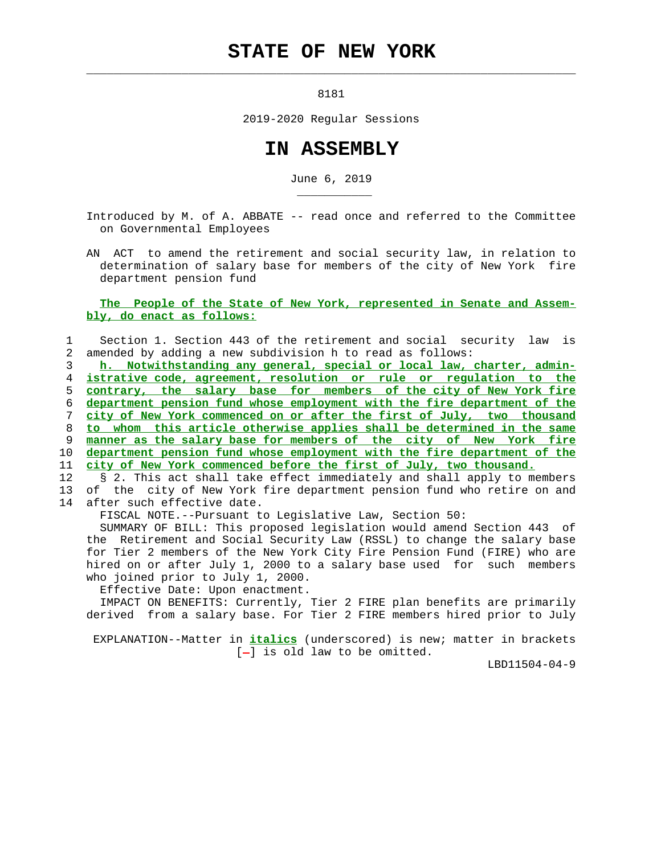## **STATE OF NEW YORK**

8181

 $\mathcal{L}_\text{max} = \frac{1}{2} \sum_{i=1}^{n} \frac{1}{2} \sum_{i=1}^{n} \frac{1}{2} \sum_{i=1}^{n} \frac{1}{2} \sum_{i=1}^{n} \frac{1}{2} \sum_{i=1}^{n} \frac{1}{2} \sum_{i=1}^{n} \frac{1}{2} \sum_{i=1}^{n} \frac{1}{2} \sum_{i=1}^{n} \frac{1}{2} \sum_{i=1}^{n} \frac{1}{2} \sum_{i=1}^{n} \frac{1}{2} \sum_{i=1}^{n} \frac{1}{2} \sum_{i=1}^{n} \frac{1$ 

2019-2020 Regular Sessions

## **IN ASSEMBLY**

June 6, 2019

 Introduced by M. of A. ABBATE -- read once and referred to the Committee on Governmental Employees

 AN ACT to amend the retirement and social security law, in relation to determination of salary base for members of the city of New York fire department pension fund

## **The People of the State of New York, represented in Senate and Assem bly, do enact as follows:**

## 1 Section 1. Section 443 of the retirement and social security law is 2 amended by adding a new subdivision h to read as follows:

**h. Notwithstanding any general, special or local law, charter, admin- istrative code, agreement, resolution or rule or regulation to the contrary, the salary base for members of the city of New York fire department pension fund whose employment with the fire department of the city of New York commenced on or after the first of July, two thousand to whom this article otherwise applies shall be determined in the same manner as the salary base for members of the city of New York fire department pension fund whose employment with the fire department of the city of New York commenced before the first of July, two thousand.**

12 § 2. This act shall take effect immediately and shall apply to members 13 of the city of New York fire department pension fund who retire on and 14 after such effective date.

FISCAL NOTE.--Pursuant to Legislative Law, Section 50:

 SUMMARY OF BILL: This proposed legislation would amend Section 443 of the Retirement and Social Security Law (RSSL) to change the salary base for Tier 2 members of the New York City Fire Pension Fund (FIRE) who are hired on or after July 1, 2000 to a salary base used for such members who joined prior to July 1, 2000.

Effective Date: Upon enactment.

\_\_\_\_\_\_\_\_\_\_\_

 IMPACT ON BENEFITS: Currently, Tier 2 FIRE plan benefits are primarily derived from a salary base. For Tier 2 FIRE members hired prior to July

 EXPLANATION--Matter in **italics** (underscored) is new; matter in brackets  $[-]$  is old law to be omitted.

LBD11504-04-9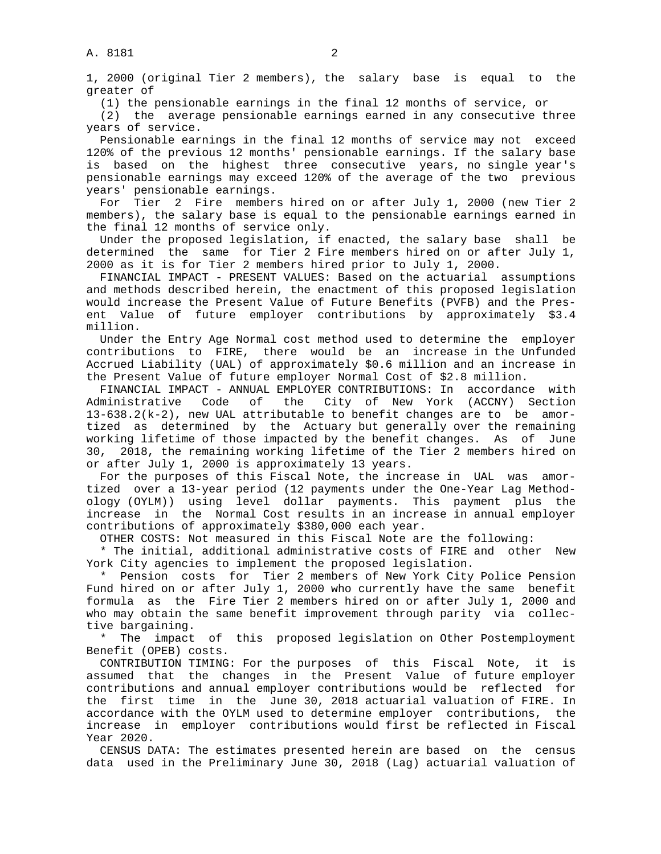1, 2000 (original Tier 2 members), the salary base is equal to the greater of

(1) the pensionable earnings in the final 12 months of service, or

 (2) the average pensionable earnings earned in any consecutive three years of service.

 Pensionable earnings in the final 12 months of service may not exceed 120% of the previous 12 months' pensionable earnings. If the salary base is based on the highest three consecutive years, no single year's pensionable earnings may exceed 120% of the average of the two previous years' pensionable earnings.

 For Tier 2 Fire members hired on or after July 1, 2000 (new Tier 2 members), the salary base is equal to the pensionable earnings earned in the final 12 months of service only.

 Under the proposed legislation, if enacted, the salary base shall be determined the same for Tier 2 Fire members hired on or after July 1, 2000 as it is for Tier 2 members hired prior to July 1, 2000.

 FINANCIAL IMPACT - PRESENT VALUES: Based on the actuarial assumptions and methods described herein, the enactment of this proposed legislation would increase the Present Value of Future Benefits (PVFB) and the Pres ent Value of future employer contributions by approximately \$3.4 million.

 Under the Entry Age Normal cost method used to determine the employer contributions to FIRE, there would be an increase in the Unfunded Accrued Liability (UAL) of approximately \$0.6 million and an increase in the Present Value of future employer Normal Cost of \$2.8 million.

 FINANCIAL IMPACT - ANNUAL EMPLOYER CONTRIBUTIONS: In accordance with Administrative Code of the City of New York (ACCNY) Section 13-638.2(k-2), new UAL attributable to benefit changes are to be amor tized as determined by the Actuary but generally over the remaining working lifetime of those impacted by the benefit changes. As of June 30, 2018, the remaining working lifetime of the Tier 2 members hired on or after July 1, 2000 is approximately 13 years.

 For the purposes of this Fiscal Note, the increase in UAL was amor tized over a 13-year period (12 payments under the One-Year Lag Method ology (OYLM)) using level dollar payments. This payment plus the increase in the Normal Cost results in an increase in annual employer contributions of approximately \$380,000 each year.

OTHER COSTS: Not measured in this Fiscal Note are the following:

 \* The initial, additional administrative costs of FIRE and other New York City agencies to implement the proposed legislation.

 \* Pension costs for Tier 2 members of New York City Police Pension Fund hired on or after July 1, 2000 who currently have the same benefit formula as the Fire Tier 2 members hired on or after July 1, 2000 and who may obtain the same benefit improvement through parity via collec tive bargaining.

 \* The impact of this proposed legislation on Other Postemployment Benefit (OPEB) costs.

 CONTRIBUTION TIMING: For the purposes of this Fiscal Note, it is assumed that the changes in the Present Value of future employer contributions and annual employer contributions would be reflected for the first time in the June 30, 2018 actuarial valuation of FIRE. In accordance with the OYLM used to determine employer contributions, the increase in employer contributions would first be reflected in Fiscal Year 2020.

 CENSUS DATA: The estimates presented herein are based on the census data used in the Preliminary June 30, 2018 (Lag) actuarial valuation of